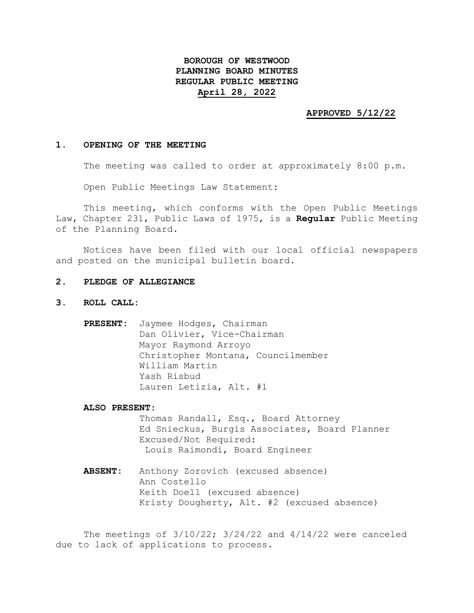# **BOROUGH OF WESTWOOD PLANNING BOARD MINUTES REGULAR PUBLIC MEETING April 28, 2022**

#### **APPROVED 5/12/22**

#### **1. OPENING OF THE MEETING**

The meeting was called to order at approximately 8:00 p.m.

Open Public Meetings Law Statement:

This meeting, which conforms with the Open Public Meetings Law, Chapter 231, Public Laws of 1975, is a **Regular** Public Meeting of the Planning Board.

Notices have been filed with our local official newspapers and posted on the municipal bulletin board.

# **2. PLEDGE OF ALLEGIANCE**

- **3. ROLL CALL:**
	- **PRESENT:** Jaymee Hodges, Chairman Dan Olivier, Vice-Chairman Mayor Raymond Arroyo Christopher Montana, Councilmember William Martin Yash Risbud Lauren Letizia, Alt. #1

**ALSO PRESENT:**

Thomas Randall, Esq., Board Attorney Ed Snieckus, Burgis Associates, Board Planner Excused/Not Required: Louis Raimondi, Board Engineer

**ABSENT:** Anthony Zorovich (excused absence) Ann Costello Keith Doell (excused absence) Kristy Dougherty, Alt. #2 (excused absence)

The meetings of 3/10/22; 3/24/22 and 4/14/22 were canceled due to lack of applications to process.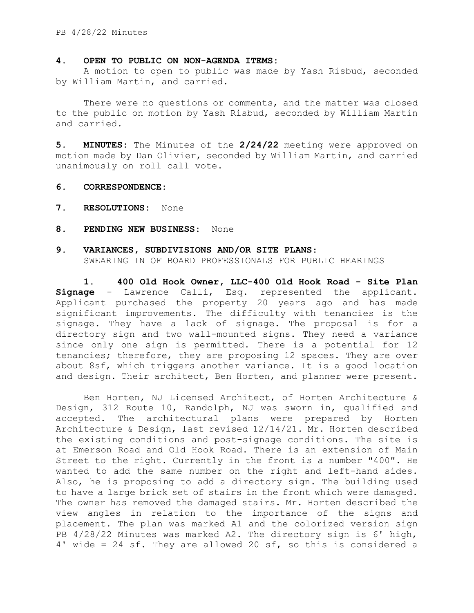#### **4. OPEN TO PUBLIC ON NON-AGENDA ITEMS:**

A motion to open to public was made by Yash Risbud, seconded by William Martin, and carried.

There were no questions or comments, and the matter was closed to the public on motion by Yash Risbud, seconded by William Martin and carried.

**5. MINUTES:** The Minutes of the **2/24/22** meeting were approved on motion made by Dan Olivier, seconded by William Martin, and carried unanimously on roll call vote.

# **6. CORRESPONDENCE:**

- **7. RESOLUTIONS:** None
- **8. PENDING NEW BUSINESS:** None

# **9. VARIANCES, SUBDIVISIONS AND/OR SITE PLANS**:

SWEARING IN OF BOARD PROFESSIONALS FOR PUBLIC HEARINGS

**1. 400 Old Hook Owner, LLC-400 Old Hook Road - Site Plan Signage** - Lawrence Calli, Esq. represented the applicant. Applicant purchased the property 20 years ago and has made significant improvements. The difficulty with tenancies is the signage. They have a lack of signage. The proposal is for a directory sign and two wall-mounted signs. They need a variance since only one sign is permitted. There is a potential for 12 tenancies; therefore, they are proposing 12 spaces. They are over about 8sf, which triggers another variance. It is a good location and design. Their architect, Ben Horten, and planner were present.

Ben Horten, NJ Licensed Architect, of Horten Architecture & Design, 312 Route 10, Randolph, NJ was sworn in, qualified and accepted. The architectural plans were prepared by Horten Architecture & Design, last revised 12/14/21. Mr. Horten described the existing conditions and post-signage conditions. The site is at Emerson Road and Old Hook Road. There is an extension of Main Street to the right. Currently in the front is a number "400". He wanted to add the same number on the right and left-hand sides. Also, he is proposing to add a directory sign. The building used to have a large brick set of stairs in the front which were damaged. The owner has removed the damaged stairs. Mr. Horten described the view angles in relation to the importance of the signs and placement. The plan was marked A1 and the colorized version sign PB 4/28/22 Minutes was marked A2. The directory sign is 6' high, 4' wide = 24 sf. They are allowed 20 sf, so this is considered a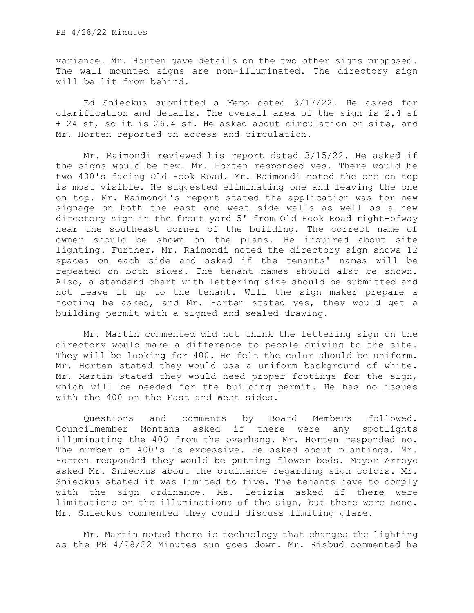variance. Mr. Horten gave details on the two other signs proposed. The wall mounted signs are non-illuminated. The directory sign will be lit from behind.

Ed Snieckus submitted a Memo dated 3/17/22. He asked for clarification and details. The overall area of the sign is 2.4 sf + 24 sf, so it is 26.4 sf. He asked about circulation on site, and Mr. Horten reported on access and circulation.

Mr. Raimondi reviewed his report dated 3/15/22. He asked if the signs would be new. Mr. Horten responded yes. There would be two 400's facing Old Hook Road. Mr. Raimondi noted the one on top is most visible. He suggested eliminating one and leaving the one on top. Mr. Raimondi's report stated the application was for new signage on both the east and west side walls as well as a new directory sign in the front yard 5' from Old Hook Road right-ofway near the southeast corner of the building. The correct name of owner should be shown on the plans. He inquired about site lighting. Further, Mr. Raimondi noted the directory sign shows 12 spaces on each side and asked if the tenants' names will be repeated on both sides. The tenant names should also be shown. Also, a standard chart with lettering size should be submitted and not leave it up to the tenant. Will the sign maker prepare a footing he asked, and Mr. Horten stated yes, they would get a building permit with a signed and sealed drawing.

Mr. Martin commented did not think the lettering sign on the directory would make a difference to people driving to the site. They will be looking for 400. He felt the color should be uniform. Mr. Horten stated they would use a uniform background of white. Mr. Martin stated they would need proper footings for the sign, which will be needed for the building permit. He has no issues with the 400 on the East and West sides.

Questions and comments by Board Members followed. Councilmember Montana asked if there were any spotlights illuminating the 400 from the overhang. Mr. Horten responded no. The number of 400's is excessive. He asked about plantings. Mr. Horten responded they would be putting flower beds. Mayor Arroyo asked Mr. Snieckus about the ordinance regarding sign colors. Mr. Snieckus stated it was limited to five. The tenants have to comply with the sign ordinance. Ms. Letizia asked if there were limitations on the illuminations of the sign, but there were none. Mr. Snieckus commented they could discuss limiting glare.

Mr. Martin noted there is technology that changes the lighting as the PB 4/28/22 Minutes sun goes down. Mr. Risbud commented he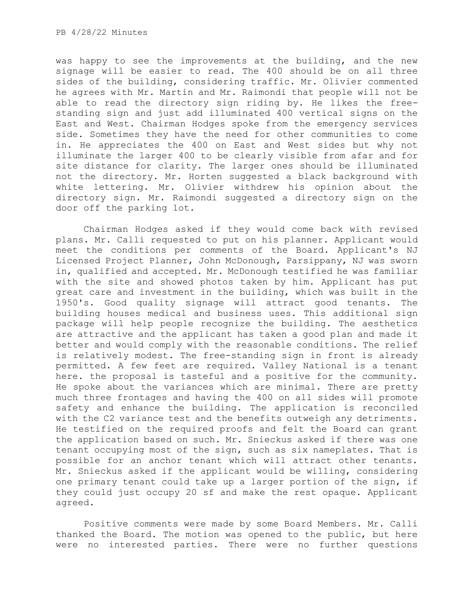was happy to see the improvements at the building, and the new signage will be easier to read. The 400 should be on all three sides of the building, considering traffic. Mr. Olivier commented he agrees with Mr. Martin and Mr. Raimondi that people will not be able to read the directory sign riding by. He likes the freestanding sign and just add illuminated 400 vertical signs on the East and West. Chairman Hodges spoke from the emergency services side. Sometimes they have the need for other communities to come in. He appreciates the 400 on East and West sides but why not illuminate the larger 400 to be clearly visible from afar and for site distance for clarity. The larger ones should be illuminated not the directory. Mr. Horten suggested a black background with white lettering. Mr. Olivier withdrew his opinion about the directory sign. Mr. Raimondi suggested a directory sign on the door off the parking lot.

Chairman Hodges asked if they would come back with revised plans. Mr. Calli requested to put on his planner. Applicant would meet the conditions per comments of the Board. Applicant's NJ Licensed Project Planner, John McDonough, Parsippany, NJ was sworn in, qualified and accepted. Mr. McDonough testified he was familiar with the site and showed photos taken by him. Applicant has put great care and investment in the building, which was built in the 1950's. Good quality signage will attract good tenants. The building houses medical and business uses. This additional sign package will help people recognize the building. The aesthetics are attractive and the applicant has taken a good plan and made it better and would comply with the reasonable conditions. The relief is relatively modest. The free-standing sign in front is already permitted. A few feet are required. Valley National is a tenant here. the proposal is tasteful and a positive for the community. He spoke about the variances which are minimal. There are pretty much three frontages and having the 400 on all sides will promote safety and enhance the building. The application is reconciled with the C2 variance test and the benefits outweigh any detriments. He testified on the required proofs and felt the Board can grant the application based on such. Mr. Snieckus asked if there was one tenant occupying most of the sign, such as six nameplates. That is possible for an anchor tenant which will attract other tenants. Mr. Snieckus asked if the applicant would be willing, considering one primary tenant could take up a larger portion of the sign, if they could just occupy 20 sf and make the rest opaque. Applicant agreed.

Positive comments were made by some Board Members. Mr. Calli thanked the Board. The motion was opened to the public, but here were no interested parties. There were no further questions